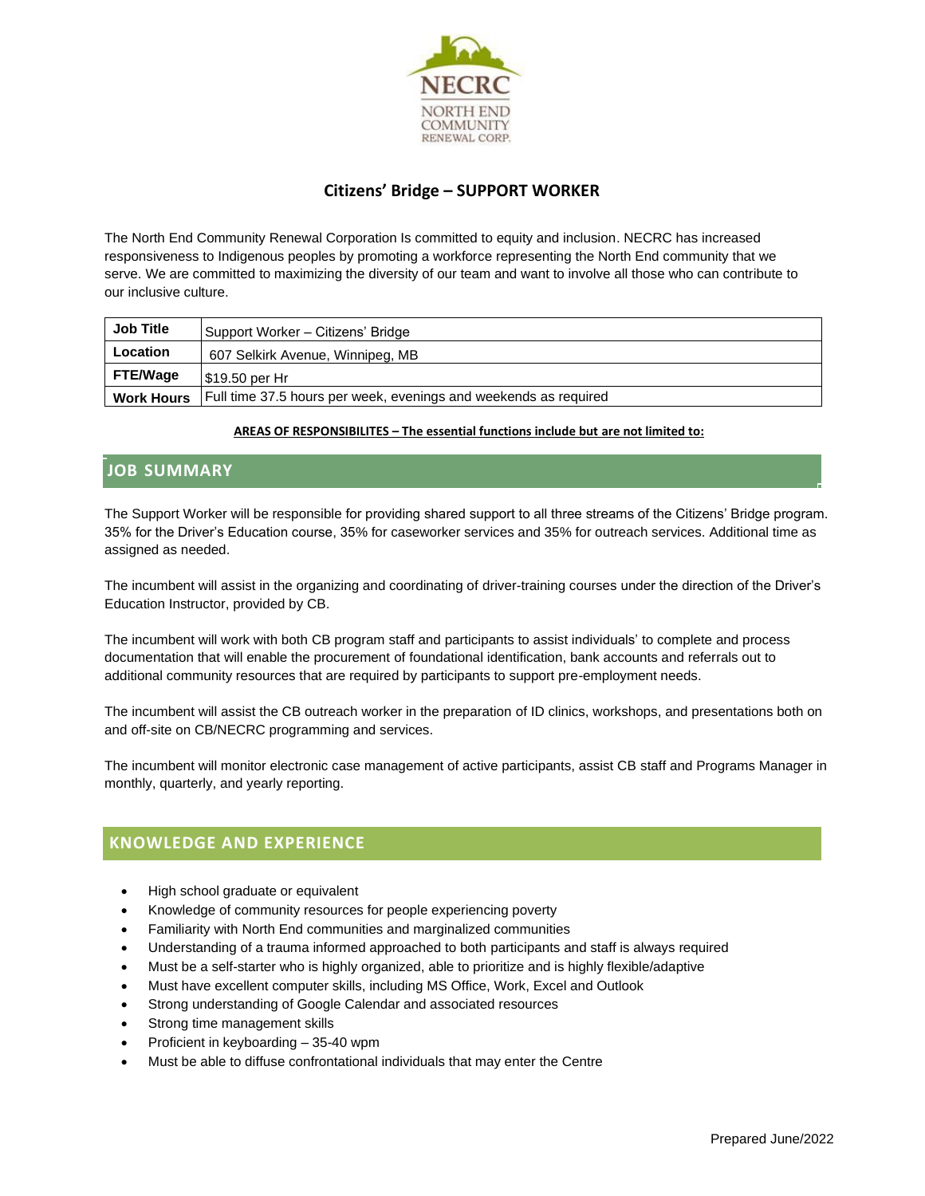

# **Citizens' Bridge – SUPPORT WORKER**

The North End Community Renewal Corporation Is committed to equity and inclusion. NECRC has increased responsiveness to Indigenous peoples by promoting a workforce representing the North End community that we serve. We are committed to maximizing the diversity of our team and want to involve all those who can contribute to our inclusive culture.

| <b>Job Title</b>  | Support Worker - Citizens' Bridge                                |
|-------------------|------------------------------------------------------------------|
| <b>Location</b>   | 607 Selkirk Avenue, Winnipeg, MB                                 |
| <b>FTE/Wage</b>   | l \$19.50 per Hr                                                 |
| <b>Work Hours</b> | Full time 37.5 hours per week, evenings and weekends as required |

#### **AREAS OF RESPONSIBILITES – The essential functions include but are not limited to:**

### **JOB SUMMARY**

The Support Worker will be responsible for providing shared support to all three streams of the Citizens' Bridge program. 35% for the Driver's Education course, 35% for caseworker services and 35% for outreach services. Additional time as assigned as needed.

The incumbent will assist in the organizing and coordinating of driver-training courses under the direction of the Driver's Education Instructor, provided by CB.

The incumbent will work with both CB program staff and participants to assist individuals' to complete and process documentation that will enable the procurement of foundational identification, bank accounts and referrals out to additional community resources that are required by participants to support pre-employment needs.

The incumbent will assist the CB outreach worker in the preparation of ID clinics, workshops, and presentations both on and off-site on CB/NECRC programming and services.

The incumbent will monitor electronic case management of active participants, assist CB staff and Programs Manager in monthly, quarterly, and yearly reporting.

### **KNOWLEDGE AND EXPERIENCE**

- High school graduate or equivalent
- Knowledge of community resources for people experiencing poverty
- Familiarity with North End communities and marginalized communities
- Understanding of a trauma informed approached to both participants and staff is always required
- Must be a self-starter who is highly organized, able to prioritize and is highly flexible/adaptive
- Must have excellent computer skills, including MS Office, Work, Excel and Outlook
- Strong understanding of Google Calendar and associated resources
- Strong time management skills
- Proficient in keyboarding 35-40 wpm
- Must be able to diffuse confrontational individuals that may enter the Centre